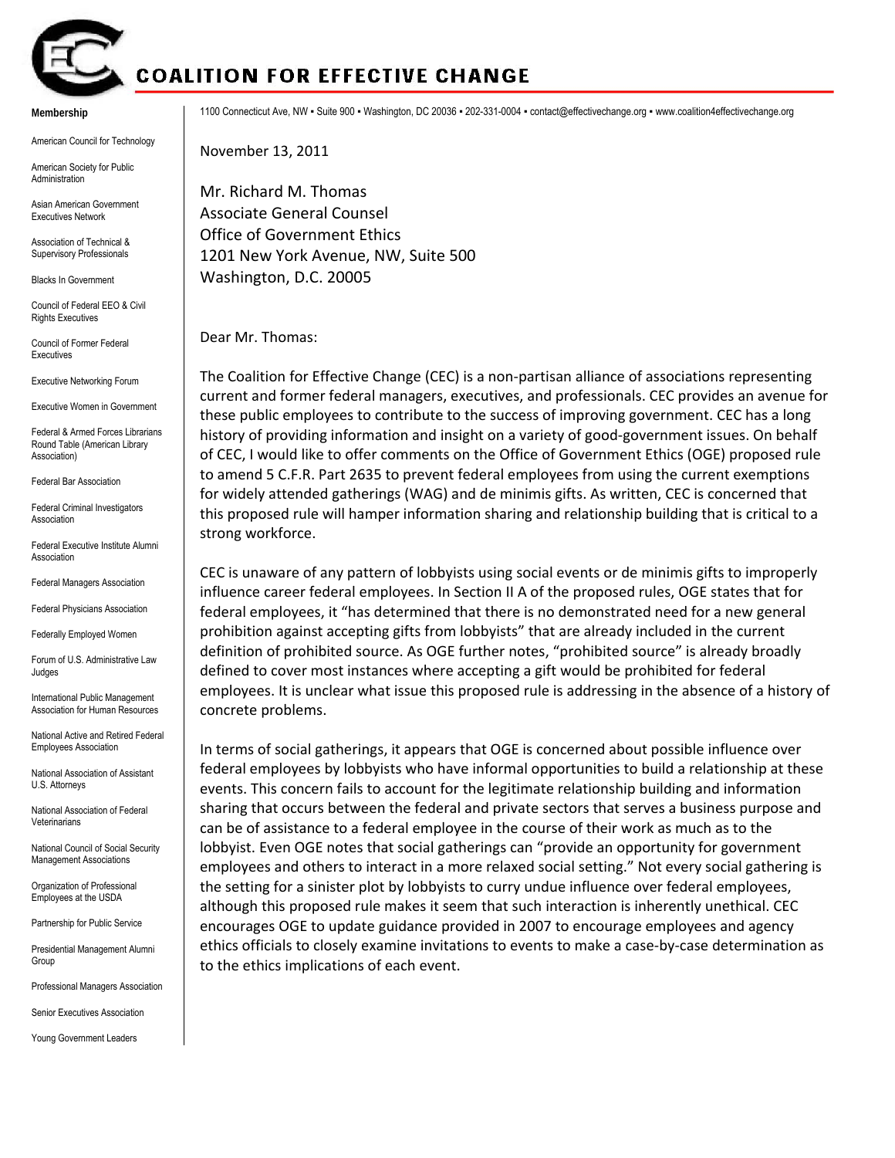

## **COALITION FOR EFFECTIVE CHANGE**

**Membership** 

American Council for Technology

American Society for Public Administration

Asian American Government Executives Network

Association of Technical & Supervisory Professionals

Blacks In Government

Council of Federal EEO & Civil **Rights Executives** 

Council of Former Federal Executives

Executive Networking Forum

Executive Women in Government

Federal & Armed Forces Librarians Round Table (American Library Association)

Federal Bar Association

Federal Criminal Investigators Association

Federal Executive Institute Alumni Association

Federal Managers Association

Federal Physicians Association

Federally Employed Women

Forum of U.S. Administrative Law Judges

International Public Management Association for Human Resources

National Active and Retired Federal Employees Association

National Association of Assistant U.S. Attorneys

National Association of Federal Veterinarians

National Council of Social Security Management Associations

Organization of Professional Employees at the USDA

Partnership for Public Service

Presidential Management Alumni Group

Professional Managers Association

Senior Executives Association

Young Government Leaders

1100 Connecticut Ave, NW ▪ Suite 900 ▪ Washington, DC 20036 ▪ 202-331-0004 ▪ contact@effectivechange.org ▪ www.coalition4effectivechange.org

November 13, 2011

Mr. Richard M. Thomas Associate General Counsel Office of Government Ethics 1201 New York Avenue, NW, Suite 500 Washington, D.C. 20005

Dear Mr. Thomas:

The Coalition for Effective Change (CEC) is a non-partisan alliance of associations representing current and former federal managers, executives, and professionals. CEC provides an avenue for these public employees to contribute to the success of improving government. CEC has a long history of providing information and insight on a variety of good‐government issues. On behalf of CEC, I would like to offer comments on the Office of Government Ethics (OGE) proposed rule to amend 5 C.F.R. Part 2635 to prevent federal employees from using the current exemptions for widely attended gatherings (WAG) and de minimis gifts. As written, CEC is concerned that this proposed rule will hamper information sharing and relationship building that is critical to a strong workforce.

CEC is unaware of any pattern of lobbyists using social events or de minimis gifts to improperly influence career federal employees. In Section II A of the proposed rules, OGE states that for federal employees, it "has determined that there is no demonstrated need for a new general prohibition against accepting gifts from lobbyists" that are already included in the current definition of prohibited source. As OGE further notes, "prohibited source" is already broadly defined to cover most instances where accepting a gift would be prohibited for federal employees. It is unclear what issue this proposed rule is addressing in the absence of a history of concrete problems.

In terms of social gatherings, it appears that OGE is concerned about possible influence over federal employees by lobbyists who have informal opportunities to build a relationship at these events. This concern fails to account for the legitimate relationship building and information sharing that occurs between the federal and private sectors that serves a business purpose and can be of assistance to a federal employee in the course of their work as much as to the lobbyist. Even OGE notes that social gatherings can "provide an opportunity for government employees and others to interact in a more relaxed social setting." Not every social gathering is the setting for a sinister plot by lobbyists to curry undue influence over federal employees, although this proposed rule makes it seem that such interaction is inherently unethical. CEC encourages OGE to update guidance provided in 2007 to encourage employees and agency ethics officials to closely examine invitations to events to make a case‐by‐case determination as to the ethics implications of each event.